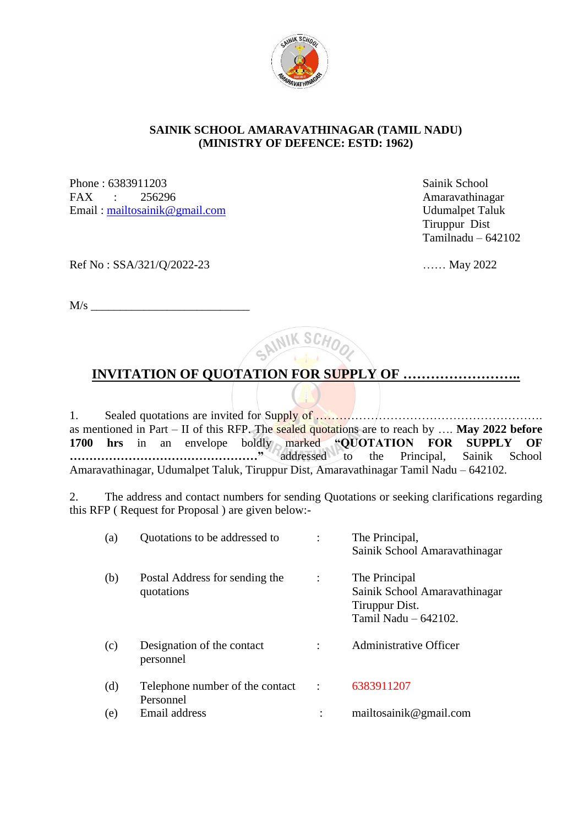

### **SAINIK SCHOOL AMARAVATHINAGAR (TAMIL NADU) (MINISTRY OF DEFENCE: ESTD: 1962)**

Phone : 6383911203 Sainik School FAX : 256296 Amaravathinagar Email : [mailtosainik@gmail.com](mailto:mailtosainik@gmail.com) Udumalpet Taluk

 Tiruppur Dist Tamilnadu – 642102

Ref No : SSA/321/Q/2022-23 …… May 2022

 $M/s$ 

CAINIK SCH

# **INVITATION OF QUOTATION FOR SUPPLY OF ……………………..**

1. Sealed quotations are invited for Supply of …………………………………………………. as mentioned in Part – II of this RFP. The sealed quotations are to reach by …. **May 2022 before 1700 hrs** in an envelope boldly marked **"QUOTATION FOR SUPPLY OF …………………………………………"** addressed to the Principal, Sainik School Amaravathinagar, Udumalpet Taluk, Tiruppur Dist, Amaravathinagar Tamil Nadu – 642102.

2. The address and contact numbers for sending Quotations or seeking clarifications regarding this RFP ( Request for Proposal ) are given below:-

| (a) | Quotations to be addressed to                |                      | The Principal,<br>Sainik School Amaravathinagar                                          |
|-----|----------------------------------------------|----------------------|------------------------------------------------------------------------------------------|
| (b) | Postal Address for sending the<br>quotations |                      | The Principal<br>Sainik School Amaravathinagar<br>Tiruppur Dist.<br>Tamil Nadu - 642102. |
| (c) | Designation of the contact<br>personnel      |                      | <b>Administrative Officer</b>                                                            |
| (d) | Telephone number of the contact<br>Personnel | $\ddot{\phantom{a}}$ | 6383911207                                                                               |
| (e) | Email address                                |                      | mailtosainik@gmail.com                                                                   |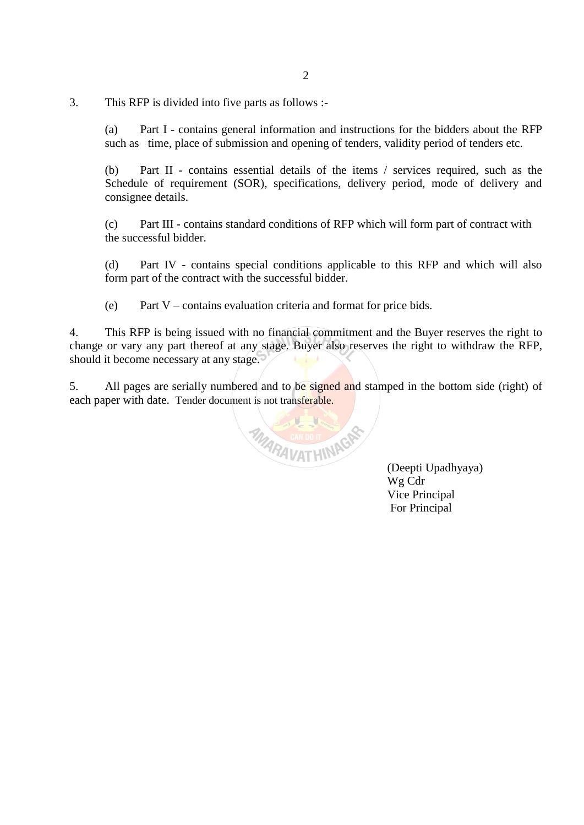3. This RFP is divided into five parts as follows :-

(a) Part I - contains general information and instructions for the bidders about the RFP such as time, place of submission and opening of tenders, validity period of tenders etc.

(b) Part II - contains essential details of the items / services required, such as the Schedule of requirement (SOR), specifications, delivery period, mode of delivery and consignee details.

(c) Part III - contains standard conditions of RFP which will form part of contract with the successful bidder.

(d) Part IV - contains special conditions applicable to this RFP and which will also form part of the contract with the successful bidder.

(e) Part V – contains evaluation criteria and format for price bids.

4. This RFP is being issued with no financial commitment and the Buyer reserves the right to change or vary any part thereof at any stage. Buyer also reserves the right to withdraw the RFP, should it become necessary at any stage.

5. All pages are serially numbered and to be signed and stamped in the bottom side (right) of each paper with date. Tender document is not transferable.



 (Deepti Upadhyaya) Wg Cdr Vice Principal For Principal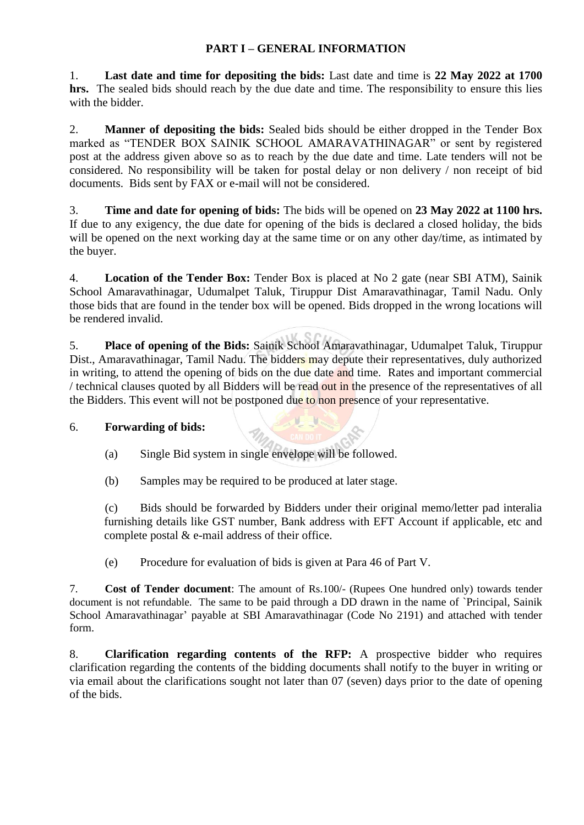### **PART I – GENERAL INFORMATION**

1. **Last date and time for depositing the bids:** Last date and time is **22 May 2022 at 1700 hrs.** The sealed bids should reach by the due date and time. The responsibility to ensure this lies with the bidder.

2. **Manner of depositing the bids:** Sealed bids should be either dropped in the Tender Box marked as "TENDER BOX SAINIK SCHOOL AMARAVATHINAGAR" or sent by registered post at the address given above so as to reach by the due date and time. Late tenders will not be considered. No responsibility will be taken for postal delay or non delivery / non receipt of bid documents. Bids sent by FAX or e-mail will not be considered.

3. **Time and date for opening of bids:** The bids will be opened on **23 May 2022 at 1100 hrs.**  If due to any exigency, the due date for opening of the bids is declared a closed holiday, the bids will be opened on the next working day at the same time or on any other day/time, as intimated by the buyer.

4. **Location of the Tender Box:** Tender Box is placed at No 2 gate (near SBI ATM), Sainik School Amaravathinagar, Udumalpet Taluk, Tiruppur Dist Amaravathinagar, Tamil Nadu. Only those bids that are found in the tender box will be opened. Bids dropped in the wrong locations will be rendered invalid.

5. **Place of opening of the Bids:** Sainik School Amaravathinagar, Udumalpet Taluk, Tiruppur Dist., Amaravathinagar, Tamil Nadu. The bidders may depute their representatives, duly authorized in writing, to attend the opening of bids on the due date and time. Rates and important commercial / technical clauses quoted by all Bidders will be read out in the presence of the representatives of all the Bidders. This event will not be postponed due to non presence of your representative.

U

### 6. **Forwarding of bids:**

- (a) Single Bid system in single envelope will be followed.
- (b) Samples may be required to be produced at later stage.

(c) Bids should be forwarded by Bidders under their original memo/letter pad interalia furnishing details like GST number, Bank address with EFT Account if applicable, etc and complete postal & e-mail address of their office.

(e) Procedure for evaluation of bids is given at Para 46 of Part V.

7. **Cost of Tender document**: The amount of Rs.100/- (Rupees One hundred only) towards tender document is not refundable. The same to be paid through a DD drawn in the name of `Principal, Sainik School Amaravathinagar' payable at SBI Amaravathinagar (Code No 2191) and attached with tender form.

8. **Clarification regarding contents of the RFP:** A prospective bidder who requires clarification regarding the contents of the bidding documents shall notify to the buyer in writing or via email about the clarifications sought not later than 07 (seven) days prior to the date of opening of the bids.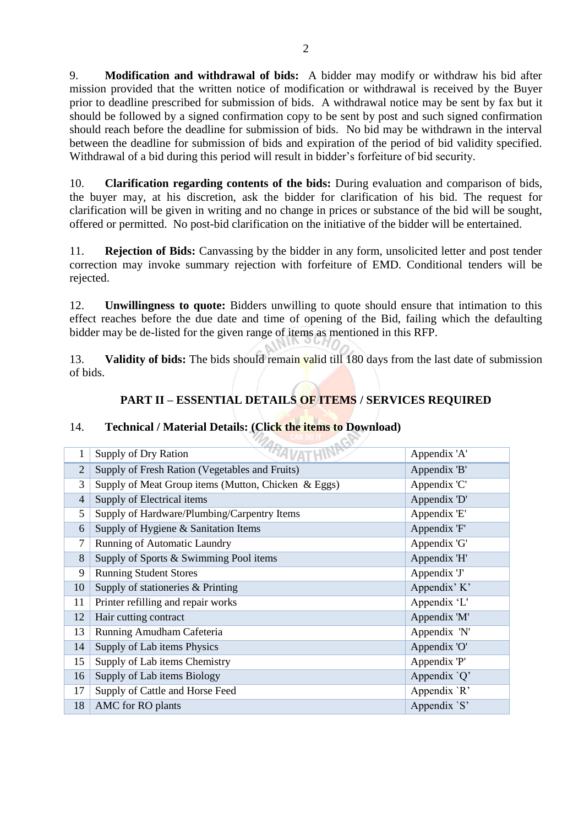9. **Modification and withdrawal of bids:** A bidder may modify or withdraw his bid after mission provided that the written notice of modification or withdrawal is received by the Buyer prior to deadline prescribed for submission of bids. A withdrawal notice may be sent by fax but it should be followed by a signed confirmation copy to be sent by post and such signed confirmation should reach before the deadline for submission of bids. No bid may be withdrawn in the interval between the deadline for submission of bids and expiration of the period of bid validity specified. Withdrawal of a bid during this period will result in bidder's forfeiture of bid security.

10. **Clarification regarding contents of the bids:** During evaluation and comparison of bids, the buyer may, at his discretion, ask the bidder for clarification of his bid. The request for clarification will be given in writing and no change in prices or substance of the bid will be sought, offered or permitted. No post-bid clarification on the initiative of the bidder will be entertained.

11. **Rejection of Bids:** Canvassing by the bidder in any form, unsolicited letter and post tender correction may invoke summary rejection with forfeiture of EMD. Conditional tenders will be rejected.

12. **Unwillingness to quote:** Bidders unwilling to quote should ensure that intimation to this effect reaches before the due date and time of opening of the Bid, failing which the defaulting bidder may be de-listed for the given range of items as mentioned in this RFP.

13. **Validity of bids:** The bids should remain valid till 180 days from the last date of submission of bids.

## **PART II – ESSENTIAL DETAILS OF ITEMS / SERVICES REQUIRED**

### 14. **Technical / Material Details: (Click the items to Download)**

| 1              | Supply of Dry Ration                                | Appendix 'A'  |
|----------------|-----------------------------------------------------|---------------|
| $\overline{2}$ | Supply of Fresh Ration (Vegetables and Fruits)      | Appendix 'B'  |
| 3              | Supply of Meat Group items (Mutton, Chicken & Eggs) | Appendix 'C'  |
| $\overline{4}$ | Supply of Electrical items                          | Appendix 'D'  |
| 5              | Supply of Hardware/Plumbing/Carpentry Items         | Appendix 'E'  |
| 6              | Supply of Hygiene & Sanitation Items                | Appendix 'F'  |
| 7              | Running of Automatic Laundry                        | Appendix 'G'  |
| 8              | Supply of Sports & Swimming Pool items              | Appendix 'H'  |
| 9              | <b>Running Student Stores</b>                       | Appendix 'J'  |
| 10             | Supply of stationeries & Printing                   | Appendix' K'  |
| 11             | Printer refilling and repair works                  | Appendix 'L'  |
| 12             | Hair cutting contract                               | Appendix 'M'  |
| 13             | Running Amudham Cafeteria                           | Appendix 'N'  |
| 14             | Supply of Lab items Physics                         | Appendix 'O'  |
| 15             | Supply of Lab items Chemistry                       | Appendix 'P'  |
| 16             | Supply of Lab items Biology                         | Appendix $Q'$ |
| 17             | Supply of Cattle and Horse Feed                     | Appendix 'R'  |
| 18             | AMC for RO plants                                   | Appendix `S'  |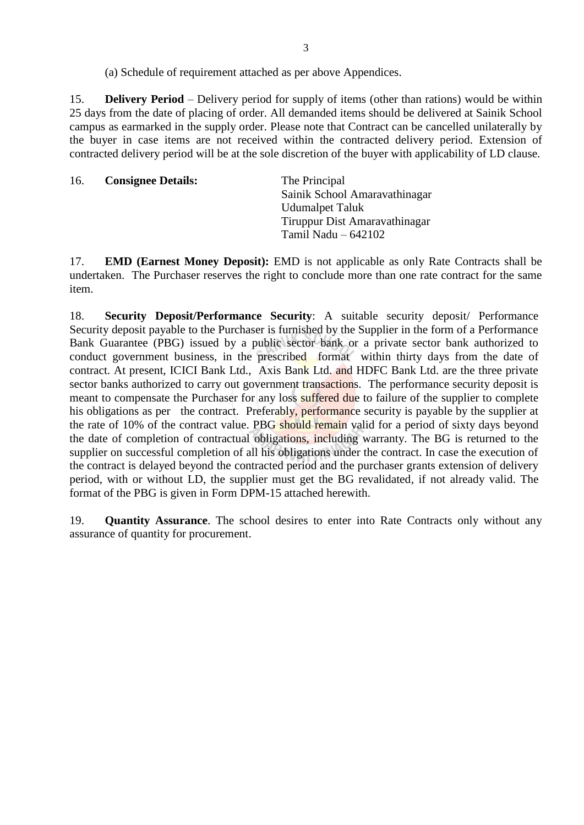(a) Schedule of requirement attached as per above Appendices.

15. **Delivery Period** – Delivery period for supply of items (other than rations) would be within 25 days from the date of placing of order. All demanded items should be delivered at Sainik School campus as earmarked in the supply order. Please note that Contract can be cancelled unilaterally by the buyer in case items are not received within the contracted delivery period. Extension of contracted delivery period will be at the sole discretion of the buyer with applicability of LD clause.

| Sainik School Amaravathinagar |
|-------------------------------|
| <b>Udumalpet Taluk</b>        |
| Tiruppur Dist Amaravathinagar |
| Tamil Nadu $-642102$          |
|                               |

17. **EMD (Earnest Money Deposit):** EMD is not applicable as only Rate Contracts shall be undertaken. The Purchaser reserves the right to conclude more than one rate contract for the same item.

18. **Security Deposit/Performance Security**: A suitable security deposit/ Performance Security deposit payable to the Purchaser is furnished by the Supplier in the form of a Performance Bank Guarantee (PBG) issued by a public sector bank or a private sector bank authorized to conduct government business, in the prescribed format within thirty days from the date of contract. At present, ICICI Bank Ltd., Axis Bank Ltd. and HDFC Bank Ltd. are the three private sector banks authorized to carry out government transactions. The performance security deposit is meant to compensate the Purchaser for any loss suffered due to failure of the supplier to complete his obligations as per the contract. Preferably, performance security is payable by the supplier at the rate of 10% of the contract value. PBG should remain valid for a period of sixty days beyond the date of completion of contractual obligations, including warranty. The BG is returned to the supplier on successful completion of all his obligations under the contract. In case the execution of the contract is delayed beyond the contracted period and the purchaser grants extension of delivery period, with or without LD, the supplier must get the BG revalidated*,* if not already valid. The format of the PBG is given in Form DPM-15 attached herewith.

19. **Quantity Assurance**. The school desires to enter into Rate Contracts only without any assurance of quantity for procurement.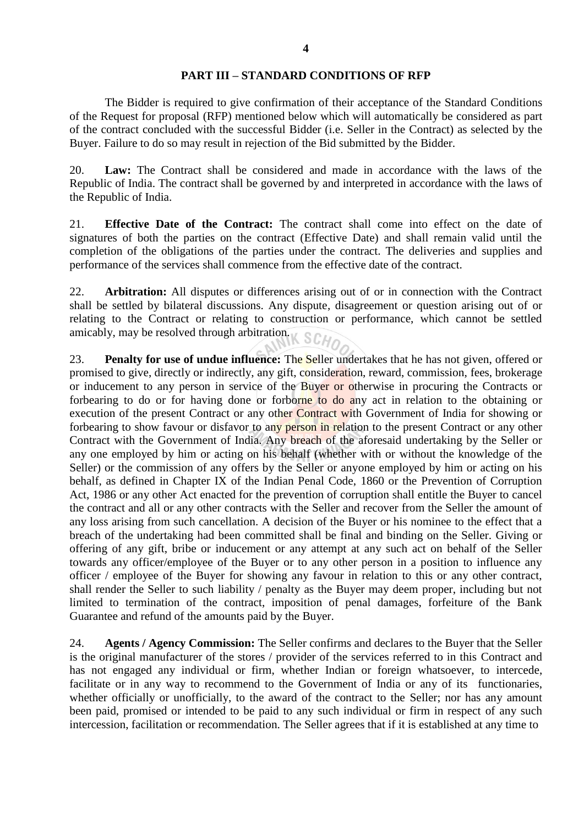#### **PART III – STANDARD CONDITIONS OF RFP**

The Bidder is required to give confirmation of their acceptance of the Standard Conditions of the Request for proposal (RFP) mentioned below which will automatically be considered as part of the contract concluded with the successful Bidder (i.e. Seller in the Contract) as selected by the Buyer. Failure to do so may result in rejection of the Bid submitted by the Bidder.

20. **Law:** The Contract shall be considered and made in accordance with the laws of the Republic of India. The contract shall be governed by and interpreted in accordance with the laws of the Republic of India.

21. **Effective Date of the Contract:** The contract shall come into effect on the date of signatures of both the parties on the contract (Effective Date) and shall remain valid until the completion of the obligations of the parties under the contract. The deliveries and supplies and performance of the services shall commence from the effective date of the contract.

22. **Arbitration:** All disputes or differences arising out of or in connection with the Contract shall be settled by bilateral discussions. Any dispute, disagreement or question arising out of or relating to the Contract or relating to construction or performance, which cannot be settled amicably, may be resolved through arbitration.

23. **Penalty for use of undue influence:** The Seller undertakes that he has not given, offered or promised to give, directly or indirectly, any gift, consideration, reward, commission, fees, brokerage or inducement to any person in service of the Buyer or otherwise in procuring the Contracts or forbearing to do or for having done or forborne to do any act in relation to the obtaining or execution of the present Contract or any other Contract with Government of India for showing or forbearing to show favour or disfavor to any person in relation to the present Contract or any other Contract with the Government of India. Any breach of the aforesaid undertaking by the Seller or any one employed by him or acting on his behalf (whether with or without the knowledge of the Seller) or the commission of any offers by the Seller or anyone employed by him or acting on his behalf, as defined in Chapter IX of the Indian Penal Code, 1860 or the Prevention of Corruption Act, 1986 or any other Act enacted for the prevention of corruption shall entitle the Buyer to cancel the contract and all or any other contracts with the Seller and recover from the Seller the amount of any loss arising from such cancellation. A decision of the Buyer or his nominee to the effect that a breach of the undertaking had been committed shall be final and binding on the Seller. Giving or offering of any gift, bribe or inducement or any attempt at any such act on behalf of the Seller towards any officer/employee of the Buyer or to any other person in a position to influence any officer / employee of the Buyer for showing any favour in relation to this or any other contract, shall render the Seller to such liability / penalty as the Buyer may deem proper, including but not limited to termination of the contract, imposition of penal damages, forfeiture of the Bank Guarantee and refund of the amounts paid by the Buyer.

24. **Agents / Agency Commission:** The Seller confirms and declares to the Buyer that the Seller is the original manufacturer of the stores / provider of the services referred to in this Contract and has not engaged any individual or firm, whether Indian or foreign whatsoever, to intercede, facilitate or in any way to recommend to the Government of India or any of its functionaries, whether officially or unofficially, to the award of the contract to the Seller; nor has any amount been paid, promised or intended to be paid to any such individual or firm in respect of any such intercession, facilitation or recommendation. The Seller agrees that if it is established at any time to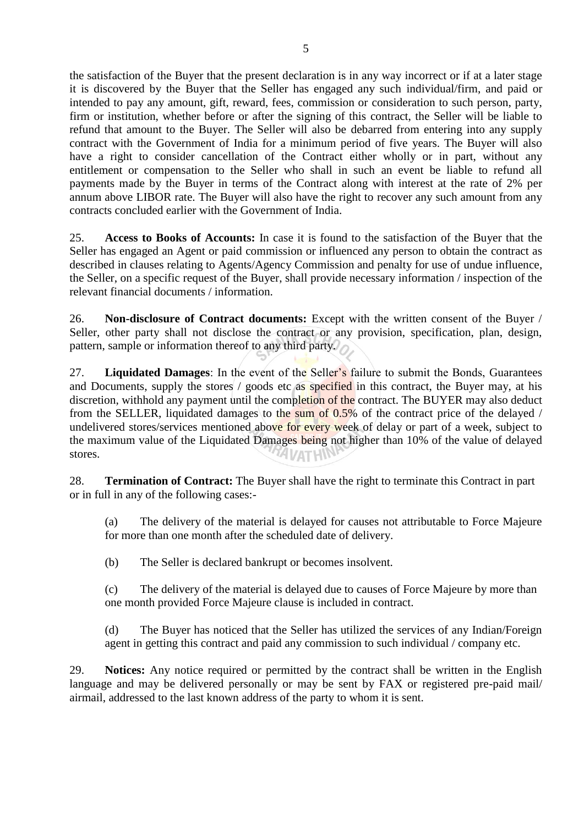refund that amount to the Buyer. The Seller will also be debarred from entering into any supply contract with the Government of India for a minimum period of five years. The Buyer will also have a right to consider cancellation of the Contract either wholly or in part, without any entitlement or compensation to the Seller who shall in such an event be liable to refund all payments made by the Buyer in terms of the Contract along with interest at the rate of 2% per annum above LIBOR rate. The Buyer will also have the right to recover any such amount from any contracts concluded earlier with the Government of India.

25. **Access to Books of Accounts:** In case it is found to the satisfaction of the Buyer that the Seller has engaged an Agent or paid commission or influenced any person to obtain the contract as described in clauses relating to Agents/Agency Commission and penalty for use of undue influence, the Seller, on a specific request of the Buyer, shall provide necessary information / inspection of the relevant financial documents / information.

26. **Non-disclosure of Contract documents:** Except with the written consent of the Buyer / Seller, other party shall not disclose the contract or any provision, specification, plan, design, pattern, sample or information thereof to any third party.

27. **Liquidated Damages**: In the event of the Seller's failure to submit the Bonds, Guarantees and Documents, supply the stores / goods etc as specified in this contract, the Buyer may, at his discretion, withhold any payment until the completion of the contract. The BUYER may also deduct from the SELLER, liquidated damages to the sum of 0.5% of the contract price of the delayed / undelivered stores/services mentioned above for every week of delay or part of a week, subject to the maximum value of the Liquidated Damages being not higher than 10% of the value of delayed stores. **ZAI VATHIN** 

28. **Termination of Contract:** The Buyer shall have the right to terminate this Contract in part or in full in any of the following cases:-

(a) The delivery of the material is delayed for causes not attributable to Force Majeure for more than one month after the scheduled date of delivery.

(b) The Seller is declared bankrupt or becomes insolvent.

(c) The delivery of the material is delayed due to causes of Force Majeure by more than one month provided Force Majeure clause is included in contract.

(d) The Buyer has noticed that the Seller has utilized the services of any Indian/Foreign agent in getting this contract and paid any commission to such individual / company etc.

29. **Notices:** Any notice required or permitted by the contract shall be written in the English language and may be delivered personally or may be sent by FAX or registered pre-paid mail/ airmail, addressed to the last known address of the party to whom it is sent.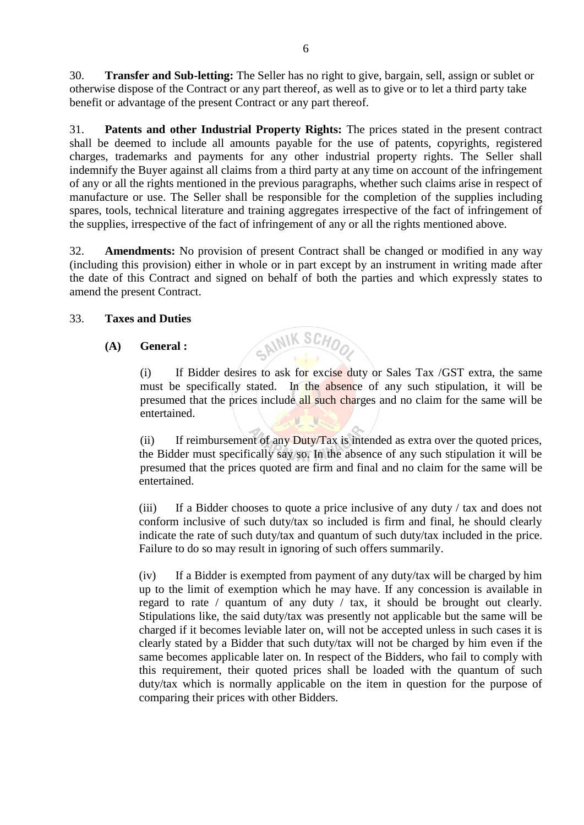30. **Transfer and Sub-letting:** The Seller has no right to give, bargain, sell, assign or sublet or otherwise dispose of the Contract or any part thereof, as well as to give or to let a third party take benefit or advantage of the present Contract or any part thereof.

31. **Patents and other Industrial Property Rights:** The prices stated in the present contract shall be deemed to include all amounts payable for the use of patents, copyrights, registered charges, trademarks and payments for any other industrial property rights. The Seller shall indemnify the Buyer against all claims from a third party at any time on account of the infringement of any or all the rights mentioned in the previous paragraphs, whether such claims arise in respect of manufacture or use. The Seller shall be responsible for the completion of the supplies including spares, tools, technical literature and training aggregates irrespective of the fact of infringement of the supplies, irrespective of the fact of infringement of any or all the rights mentioned above.

32. **Amendments:** No provision of present Contract shall be changed or modified in any way (including this provision) either in whole or in part except by an instrument in writing made after the date of this Contract and signed on behalf of both the parties and which expressly states to amend the present Contract.

SAINIK SCHO

### 33. **Taxes and Duties**

### **(A) General :**

(i) If Bidder desires to ask for excise duty or Sales Tax /GST extra, the same must be specifically stated. In the absence of any such stipulation, it will be presumed that the prices include all such charges and no claim for the same will be entertained.

(ii) If reimbursement of any Duty/Tax is intended as extra over the quoted prices, the Bidder must specifically say so. In the absence of any such stipulation it will be presumed that the prices quoted are firm and final and no claim for the same will be entertained.

(iii) If a Bidder chooses to quote a price inclusive of any duty / tax and does not conform inclusive of such duty/tax so included is firm and final, he should clearly indicate the rate of such duty/tax and quantum of such duty/tax included in the price. Failure to do so may result in ignoring of such offers summarily.

(iv) If a Bidder is exempted from payment of any duty/tax will be charged by him up to the limit of exemption which he may have. If any concession is available in regard to rate / quantum of any duty / tax, it should be brought out clearly. Stipulations like, the said duty/tax was presently not applicable but the same will be charged if it becomes leviable later on, will not be accepted unless in such cases it is clearly stated by a Bidder that such duty/tax will not be charged by him even if the same becomes applicable later on. In respect of the Bidders, who fail to comply with this requirement, their quoted prices shall be loaded with the quantum of such duty/tax which is normally applicable on the item in question for the purpose of comparing their prices with other Bidders.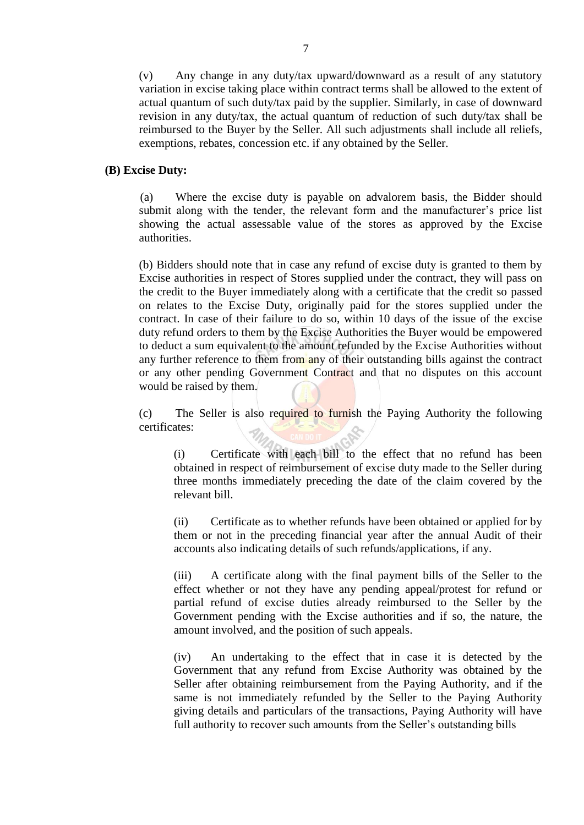(v) Any change in any duty/tax upward/downward as a result of any statutory variation in excise taking place within contract terms shall be allowed to the extent of actual quantum of such duty/tax paid by the supplier. Similarly, in case of downward revision in any duty/tax, the actual quantum of reduction of such duty/tax shall be reimbursed to the Buyer by the Seller. All such adjustments shall include all reliefs, exemptions, rebates, concession etc. if any obtained by the Seller.

#### **(B) Excise Duty:**

(a) Where the excise duty is payable on advalorem basis, the Bidder should submit along with the tender, the relevant form and the manufacturer's price list showing the actual assessable value of the stores as approved by the Excise authorities.

(b) Bidders should note that in case any refund of excise duty is granted to them by Excise authorities in respect of Stores supplied under the contract, they will pass on the credit to the Buyer immediately along with a certificate that the credit so passed on relates to the Excise Duty, originally paid for the stores supplied under the contract. In case of their failure to do so, within 10 days of the issue of the excise duty refund orders to them by the Excise Authorities the Buyer would be empowered to deduct a sum equivalent to the amount refunded by the Excise Authorities without any further reference to them from any of their outstanding bills against the contract or any other pending Government Contract and that no disputes on this account would be raised by them.

(c) The Seller is also required to furnish the Paying Authority the following certificates:

(i) Certificate with each bill to the effect that no refund has been obtained in respect of reimbursement of excise duty made to the Seller during three months immediately preceding the date of the claim covered by the relevant bill.

(ii) Certificate as to whether refunds have been obtained or applied for by them or not in the preceding financial year after the annual Audit of their accounts also indicating details of such refunds/applications, if any.

(iii) A certificate along with the final payment bills of the Seller to the effect whether or not they have any pending appeal/protest for refund or partial refund of excise duties already reimbursed to the Seller by the Government pending with the Excise authorities and if so, the nature, the amount involved, and the position of such appeals.

(iv) An undertaking to the effect that in case it is detected by the Government that any refund from Excise Authority was obtained by the Seller after obtaining reimbursement from the Paying Authority, and if the same is not immediately refunded by the Seller to the Paying Authority giving details and particulars of the transactions, Paying Authority will have full authority to recover such amounts from the Seller's outstanding bills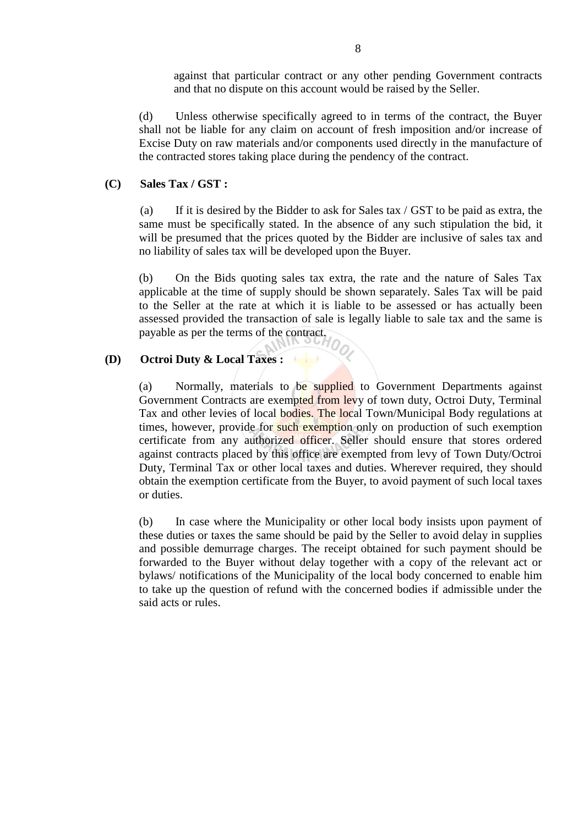against that particular contract or any other pending Government contracts and that no dispute on this account would be raised by the Seller.

(d) Unless otherwise specifically agreed to in terms of the contract, the Buyer shall not be liable for any claim on account of fresh imposition and/or increase of Excise Duty on raw materials and/or components used directly in the manufacture of the contracted stores taking place during the pendency of the contract.

### **(C) Sales Tax / GST :**

(a) If it is desired by the Bidder to ask for Sales tax / GST to be paid as extra, the same must be specifically stated. In the absence of any such stipulation the bid, it will be presumed that the prices quoted by the Bidder are inclusive of sales tax and no liability of sales tax will be developed upon the Buyer.

(b) On the Bids quoting sales tax extra, the rate and the nature of Sales Tax applicable at the time of supply should be shown separately. Sales Tax will be paid to the Seller at the rate at which it is liable to be assessed or has actually been assessed provided the transaction of sale is legally liable to sale tax and the same is payable as per the terms of the contract.

### **(D) Octroi Duty & Local Taxes :**

(a) Normally, materials to be supplied to Government Departments against Government Contracts are exempted from levy of town duty, Octroi Duty, Terminal Tax and other levies of local bodies. The local Town/Municipal Body regulations at times, however, provide for such exemption only on production of such exemption certificate from any authorized officer. Seller should ensure that stores ordered against contracts placed by this office are exempted from levy of Town Duty/Octroi Duty, Terminal Tax or other local taxes and duties. Wherever required, they should obtain the exemption certificate from the Buyer, to avoid payment of such local taxes or duties.

(b) In case where the Municipality or other local body insists upon payment of these duties or taxes the same should be paid by the Seller to avoid delay in supplies and possible demurrage charges. The receipt obtained for such payment should be forwarded to the Buyer without delay together with a copy of the relevant act or bylaws/ notifications of the Municipality of the local body concerned to enable him to take up the question of refund with the concerned bodies if admissible under the said acts or rules.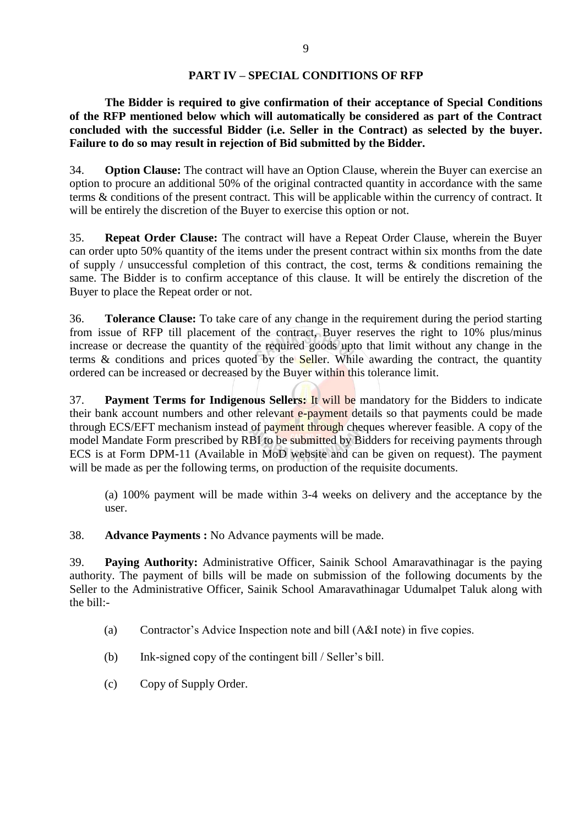### **PART IV – SPECIAL CONDITIONS OF RFP**

**The Bidder is required to give confirmation of their acceptance of Special Conditions of the RFP mentioned below which will automatically be considered as part of the Contract concluded with the successful Bidder (i.e. Seller in the Contract) as selected by the buyer. Failure to do so may result in rejection of Bid submitted by the Bidder.**

34. **Option Clause:** The contract will have an Option Clause, wherein the Buyer can exercise an option to procure an additional 50% of the original contracted quantity in accordance with the same terms & conditions of the present contract. This will be applicable within the currency of contract. It will be entirely the discretion of the Buyer to exercise this option or not.

35. **Repeat Order Clause:** The contract will have a Repeat Order Clause, wherein the Buyer can order upto 50% quantity of the items under the present contract within six months from the date of supply / unsuccessful completion of this contract, the cost, terms  $\&$  conditions remaining the same. The Bidder is to confirm acceptance of this clause. It will be entirely the discretion of the Buyer to place the Repeat order or not.

36. **Tolerance Clause:** To take care of any change in the requirement during the period starting from issue of RFP till placement of the contract, Buyer reserves the right to 10% plus/minus increase or decrease the quantity of the required goods upto that limit without any change in the terms  $\&$  conditions and prices quoted by the Seller. While awarding the contract, the quantity ordered can be increased or decreased by the Buyer within this tolerance limit.

37. **Payment Terms for Indigenous Sellers:** It will be mandatory for the Bidders to indicate their bank account numbers and other relevant e-payment details so that payments could be made through ECS/EFT mechanism instead of payment through cheques wherever feasible. A copy of the model Mandate Form prescribed by RBI to be submitted by Bidders for receiving payments through ECS is at Form DPM-11 (Available in MoD website and can be given on request). The payment will be made as per the following terms, on production of the requisite documents.

(a) 100% payment will be made within 3-4 weeks on delivery and the acceptance by the user.

38. **Advance Payments :** No Advance payments will be made.

39. **Paying Authority:** Administrative Officer, Sainik School Amaravathinagar is the paying authority. The payment of bills will be made on submission of the following documents by the Seller to the Administrative Officer, Sainik School Amaravathinagar Udumalpet Taluk along with the bill:-

- (a) Contractor's Advice Inspection note and bill (A&I note) in five copies.
- (b) Ink-signed copy of the contingent bill / Seller's bill.
- (c) Copy of Supply Order.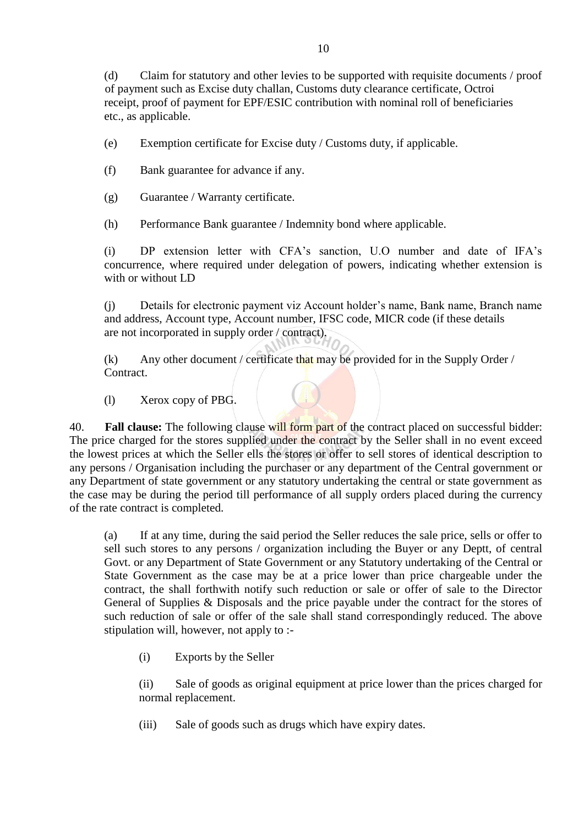(d) Claim for statutory and other levies to be supported with requisite documents / proof of payment such as Excise duty challan, Customs duty clearance certificate, Octroi receipt, proof of payment for EPF/ESIC contribution with nominal roll of beneficiaries etc., as applicable.

(e) Exemption certificate for Excise duty / Customs duty, if applicable.

(f) Bank guarantee for advance if any.

(g) Guarantee / Warranty certificate.

(h) Performance Bank guarantee / Indemnity bond where applicable.

(i) DP extension letter with CFA's sanction, U.O number and date of IFA's concurrence, where required under delegation of powers, indicating whether extension is with or without LD

(j) Details for electronic payment viz Account holder's name, Bank name, Branch name and address, Account type, Account number, IFSC code, MICR code (if these details are not incorporated in supply order / contract).

(k) Any other document / certificate that may be provided for in the Supply Order / Contract.

(l) Xerox copy of PBG.

40. **Fall clause:** The following clause will form part of the contract placed on successful bidder: The price charged for the stores supplied under the contract by the Seller shall in no event exceed the lowest prices at which the Seller ells the stores or offer to sell stores of identical description to any persons / Organisation including the purchaser or any department of the Central government or any Department of state government or any statutory undertaking the central or state government as the case may be during the period till performance of all supply orders placed during the currency of the rate contract is completed.

(a) If at any time, during the said period the Seller reduces the sale price, sells or offer to sell such stores to any persons / organization including the Buyer or any Deptt, of central Govt. or any Department of State Government or any Statutory undertaking of the Central or State Government as the case may be at a price lower than price chargeable under the contract, the shall forthwith notify such reduction or sale or offer of sale to the Director General of Supplies & Disposals and the price payable under the contract for the stores of such reduction of sale or offer of the sale shall stand correspondingly reduced. The above stipulation will, however, not apply to :-

(i) Exports by the Seller

(ii) Sale of goods as original equipment at price lower than the prices charged for normal replacement.

(iii) Sale of goods such as drugs which have expiry dates.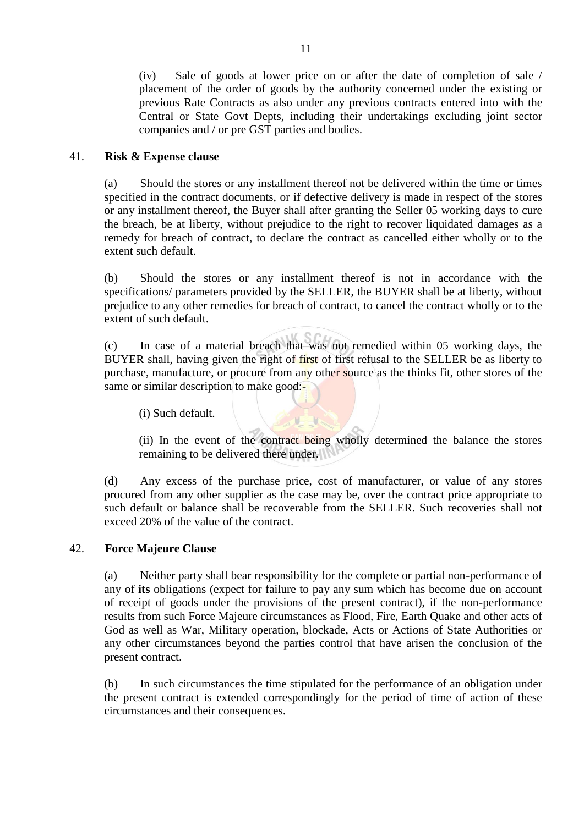(iv) Sale of goods at lower price on or after the date of completion of sale / placement of the order of goods by the authority concerned under the existing or previous Rate Contracts as also under any previous contracts entered into with the Central or State Govt Depts, including their undertakings excluding joint sector companies and / or pre GST parties and bodies.

#### 41. **Risk & Expense clause**

(a) Should the stores or any installment thereof not be delivered within the time or times specified in the contract documents, or if defective delivery is made in respect of the stores or any installment thereof, the Buyer shall after granting the Seller 05 working days to cure the breach, be at liberty, without prejudice to the right to recover liquidated damages as a remedy for breach of contract, to declare the contract as cancelled either wholly or to the extent such default.

(b) Should the stores or any installment thereof is not in accordance with the specifications/ parameters provided by the SELLER, the BUYER shall be at liberty, without prejudice to any other remedies for breach of contract, to cancel the contract wholly or to the extent of such default.

(c) In case of a material breach that was not remedied within 05 working days, the BUYER shall, having given the right of first of first refusal to the SELLER be as liberty to purchase, manufacture, or procure from any other source as the thinks fit, other stores of the same or similar description to make good:-

(i) Such default.

(ii) In the event of the contract being wholly determined the balance the stores remaining to be delivered there under.

(d) Any excess of the purchase price, cost of manufacturer, or value of any stores procured from any other supplier as the case may be, over the contract price appropriate to such default or balance shall be recoverable from the SELLER. Such recoveries shall not exceed 20% of the value of the contract.

#### 42. **Force Majeure Clause**

(a) Neither party shall bear responsibility for the complete or partial non-performance of any of **its** obligations (expect for failure to pay any sum which has become due on account of receipt of goods under the provisions of the present contract), if the non-performance results from such Force Majeure circumstances as Flood, Fire, Earth Quake and other acts of God as well as War, Military operation, blockade, Acts or Actions of State Authorities or any other circumstances beyond the parties control that have arisen the conclusion of the present contract.

(b) In such circumstances the time stipulated for the performance of an obligation under the present contract is extended correspondingly for the period of time of action of these circumstances and their consequences.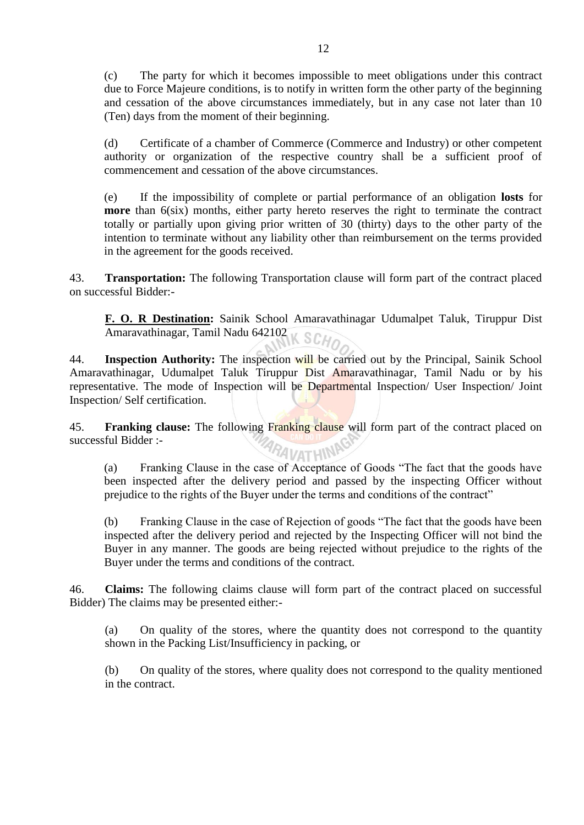(c) The party for which it becomes impossible to meet obligations under this contract due to Force Majeure conditions, is to notify in written form the other party of the beginning and cessation of the above circumstances immediately, but in any case not later than 10 (Ten) days from the moment of their beginning.

(d) Certificate of a chamber of Commerce (Commerce and Industry) or other competent authority or organization of the respective country shall be a sufficient proof of commencement and cessation of the above circumstances.

(e) If the impossibility of complete or partial performance of an obligation **losts** for **more** than 6(six) months, either party hereto reserves the right to terminate the contract totally or partially upon giving prior written of 30 (thirty) days to the other party of the intention to terminate without any liability other than reimbursement on the terms provided in the agreement for the goods received.

43. **Transportation:** The following Transportation clause will form part of the contract placed on successful Bidder:-

**F. O. R Destination:** Sainik School Amaravathinagar Udumalpet Taluk, Tiruppur Dist Amaravathinagar, Tamil Nadu 642102 K SCHO

44. **Inspection Authority:** The inspection will be carried out by the Principal, Sainik School Amaravathinagar, Udumalpet Taluk Tiruppur Dist Amaravathinagar, Tamil Nadu or by his representative. The mode of Inspection will be Departmental Inspection/ User Inspection/ Joint Inspection/ Self certification.

45. **Franking clause:** The following Franking clause will form part of the contract placed on successful Bidder :- RAVATHIN

(a) Franking Clause in the case of Acceptance of Goods "The fact that the goods have been inspected after the delivery period and passed by the inspecting Officer without prejudice to the rights of the Buyer under the terms and conditions of the contract"

(b) Franking Clause in the case of Rejection of goods "The fact that the goods have been inspected after the delivery period and rejected by the Inspecting Officer will not bind the Buyer in any manner. The goods are being rejected without prejudice to the rights of the Buyer under the terms and conditions of the contract.

46. **Claims:** The following claims clause will form part of the contract placed on successful Bidder) The claims may be presented either:-

(a) On quality of the stores, where the quantity does not correspond to the quantity shown in the Packing List/Insufficiency in packing, or

(b) On quality of the stores, where quality does not correspond to the quality mentioned in the contract.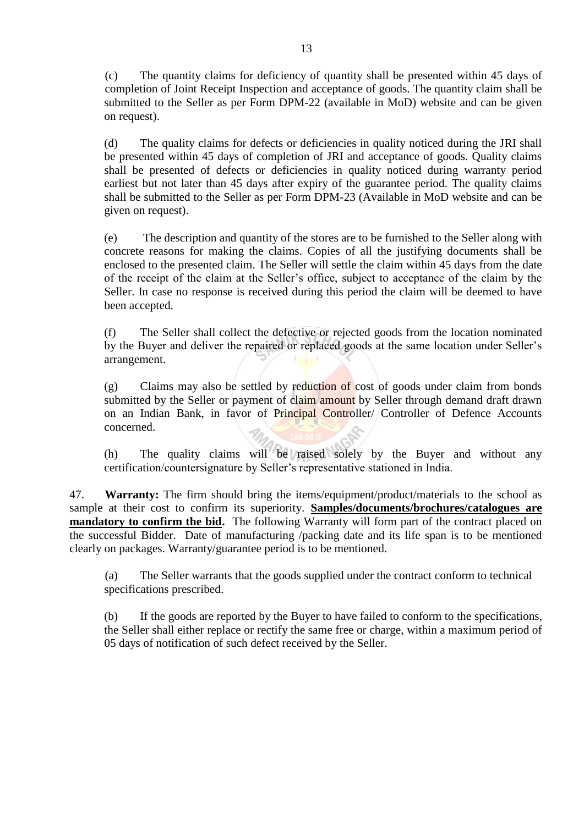(c) The quantity claims for deficiency of quantity shall be presented within 45 days of completion of Joint Receipt Inspection and acceptance of goods. The quantity claim shall be submitted to the Seller as per Form DPM-22 (available in MoD) website and can be given on request).

(d) The quality claims for defects or deficiencies in quality noticed during the JRI shall be presented within 45 days of completion of JRI and acceptance of goods. Quality claims shall be presented of defects or deficiencies in quality noticed during warranty period earliest but not later than 45 days after expiry of the guarantee period. The quality claims shall be submitted to the Seller as per Form DPM-23 (Available in MoD website and can be given on request).

(e) The description and quantity of the stores are to be furnished to the Seller along with concrete reasons for making the claims. Copies of all the justifying documents shall be enclosed to the presented claim. The Seller will settle the claim within 45 days from the date of the receipt of the claim at the Seller's office, subject to acceptance of the claim by the Seller. In case no response is received during this period the claim will be deemed to have been accepted.

(f) The Seller shall collect the defective or rejected goods from the location nominated by the Buyer and deliver the repaired or replaced goods at the same location under Seller's arrangement.

(g) Claims may also be settled by reduction of cost of goods under claim from bonds submitted by the Seller or payment of claim amount by Seller through demand draft drawn on an Indian Bank, in favor of Principal Controller/ Controller of Defence Accounts concerned.

(h) The quality claims will be raised solely by the Buyer and without any certification/countersignature by Seller's representative stationed in India.

47. **Warranty:** The firm should bring the items/equipment/product/materials to the school as sample at their cost to confirm its superiority. **Samples/documents/brochures/catalogues are mandatory to confirm the bid.** The following Warranty will form part of the contract placed on the successful Bidder. Date of manufacturing /packing date and its life span is to be mentioned clearly on packages. Warranty/guarantee period is to be mentioned.

(a) The Seller warrants that the goods supplied under the contract conform to technical specifications prescribed.

(b) If the goods are reported by the Buyer to have failed to conform to the specifications, the Seller shall either replace or rectify the same free or charge, within a maximum period of 05 days of notification of such defect received by the Seller.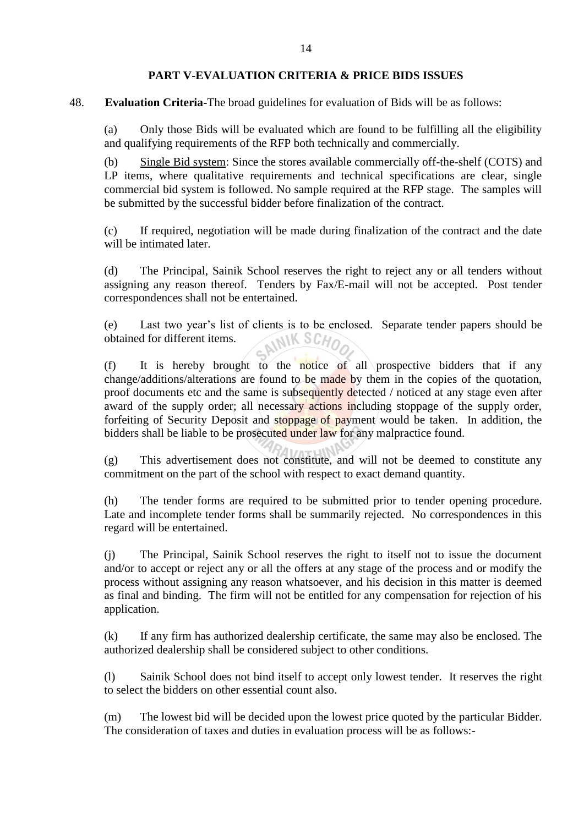### **PART V-EVALUATION CRITERIA & PRICE BIDS ISSUES**

48. **Evaluation Criteria-**The broad guidelines for evaluation of Bids will be as follows:

(a) Only those Bids will be evaluated which are found to be fulfilling all the eligibility and qualifying requirements of the RFP both technically and commercially.

(b) Single Bid system: Since the stores available commercially off-the-shelf (COTS) and LP items, where qualitative requirements and technical specifications are clear, single commercial bid system is followed. No sample required at the RFP stage. The samples will be submitted by the successful bidder before finalization of the contract.

(c) If required, negotiation will be made during finalization of the contract and the date will be intimated later.

(d) The Principal, Sainik School reserves the right to reject any or all tenders without assigning any reason thereof. Tenders by Fax/E-mail will not be accepted. Post tender correspondences shall not be entertained.

(e) Last two year's list of clients is to be enclosed. Separate tender papers should be obtained for different items. obtained for different items.

(f) It is hereby brought to the notice of all prospective bidders that if any change/additions/alterations are found to be made by them in the copies of the quotation, proof documents etc and the same is subsequently detected / noticed at any stage even after award of the supply order; all necessary actions including stoppage of the supply order, forfeiting of Security Deposit and stoppage of payment would be taken. In addition, the bidders shall be liable to be prosecuted under law for any malpractice found.

(g) This advertisement does not constitute, and will not be deemed to constitute any commitment on the part of the school with respect to exact demand quantity.

(h) The tender forms are required to be submitted prior to tender opening procedure. Late and incomplete tender forms shall be summarily rejected. No correspondences in this regard will be entertained.

(j) The Principal, Sainik School reserves the right to itself not to issue the document and/or to accept or reject any or all the offers at any stage of the process and or modify the process without assigning any reason whatsoever, and his decision in this matter is deemed as final and binding. The firm will not be entitled for any compensation for rejection of his application.

(k) If any firm has authorized dealership certificate, the same may also be enclosed. The authorized dealership shall be considered subject to other conditions.

(l) Sainik School does not bind itself to accept only lowest tender. It reserves the right to select the bidders on other essential count also.

(m) The lowest bid will be decided upon the lowest price quoted by the particular Bidder. The consideration of taxes and duties in evaluation process will be as follows:-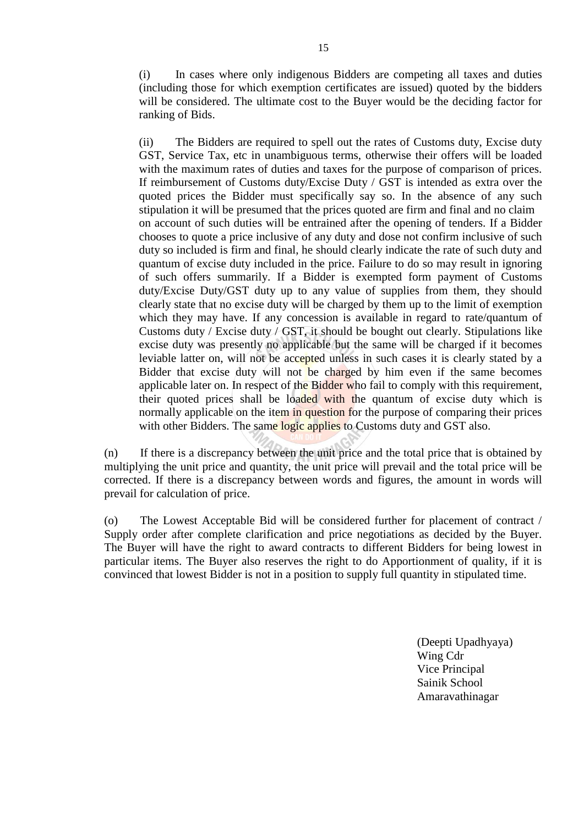(i) In cases where only indigenous Bidders are competing all taxes and duties (including those for which exemption certificates are issued) quoted by the bidders will be considered. The ultimate cost to the Buyer would be the deciding factor for ranking of Bids.

(ii) The Bidders are required to spell out the rates of Customs duty, Excise duty GST, Service Tax, etc in unambiguous terms, otherwise their offers will be loaded with the maximum rates of duties and taxes for the purpose of comparison of prices. If reimbursement of Customs duty/Excise Duty / GST is intended as extra over the quoted prices the Bidder must specifically say so. In the absence of any such stipulation it will be presumed that the prices quoted are firm and final and no claim on account of such duties will be entrained after the opening of tenders. If a Bidder chooses to quote a price inclusive of any duty and dose not confirm inclusive of such duty so included is firm and final, he should clearly indicate the rate of such duty and quantum of excise duty included in the price. Failure to do so may result in ignoring of such offers summarily. If a Bidder is exempted form payment of Customs duty/Excise Duty/GST duty up to any value of supplies from them, they should clearly state that no excise duty will be charged by them up to the limit of exemption which they may have. If any concession is available in regard to rate/quantum of Customs duty / Excise duty / GST, it should be bought out clearly. Stipulations like excise duty was presently no applicable but the same will be charged if it becomes leviable latter on, will not be accepted unless in such cases it is clearly stated by a Bidder that excise duty will not be charged by him even if the same becomes applicable later on. In respect of the Bidder who fail to comply with this requirement, their quoted prices shall be loaded with the quantum of excise duty which is normally applicable on the item in question for the purpose of comparing their prices with other Bidders. The same logic applies to Customs duty and GST also.

(n) If there is a discrepancy between the unit price and the total price that is obtained by multiplying the unit price and quantity, the unit price will prevail and the total price will be corrected. If there is a discrepancy between words and figures, the amount in words will prevail for calculation of price.

(o) The Lowest Acceptable Bid will be considered further for placement of contract / Supply order after complete clarification and price negotiations as decided by the Buyer. The Buyer will have the right to award contracts to different Bidders for being lowest in particular items. The Buyer also reserves the right to do Apportionment of quality, if it is convinced that lowest Bidder is not in a position to supply full quantity in stipulated time.

> (Deepti Upadhyaya) Wing Cdr Vice Principal Sainik School Amaravathinagar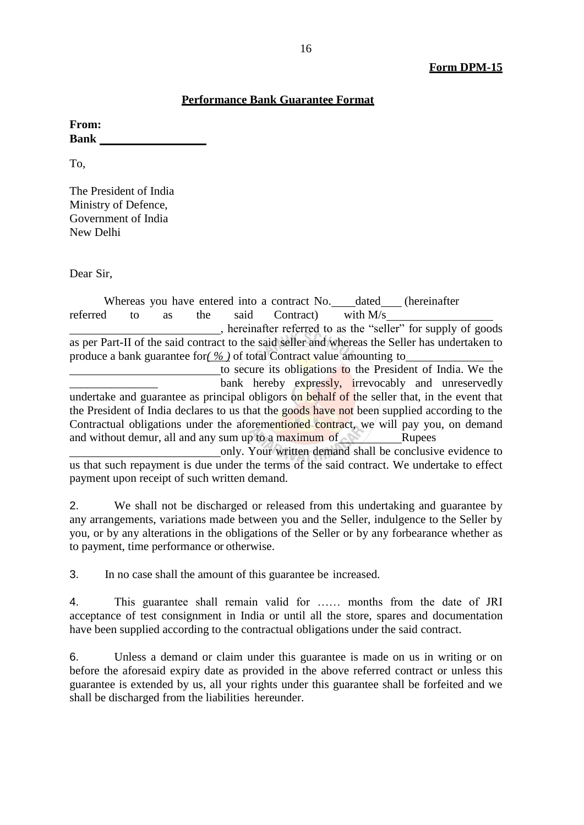### **Performance Bank Guarantee Format**

**From: Bank** 

To,

The President of India Ministry of Defence, Government of India New Delhi

Dear Sir,

Whereas you have entered into a contract No. dated (hereinafter referred to as the said Contract) with M/s , hereinafter referred to as the "seller" for supply of goods as per Part-II of the said contract to the said seller and whereas the Seller has undertaken to produce a bank guarantee for*( % )* of total Contract value amounting to to secure its obligations to the President of India. We the bank hereby expressly, irrevocably and unreservedly

undertake and guarantee as principal obligors on behalf of the seller that, in the event that the President of India declares to us that the goods have not been supplied according to the Contractual obligations under the aforementioned contract, we will pay you, on demand and without demur, all and any sum up to a maximum of  $\sim$  Rupees

only. Your written demand shall be conclusive evidence to us that such repayment is due under the terms of the said contract. We undertake to effect payment upon receipt of such written demand.

2. We shall not be discharged or released from this undertaking and guarantee by any arrangements, variations made between you and the Seller, indulgence to the Seller by you, or by any alterations in the obligations of the Seller or by any forbearance whether as to payment, time performance or otherwise.

3. In no case shall the amount of this guarantee be increased.

4. This guarantee shall remain valid for …… months from the date of JRI acceptance of test consignment in India or until all the store, spares and documentation have been supplied according to the contractual obligations under the said contract.

6. Unless a demand or claim under this guarantee is made on us in writing or on before the aforesaid expiry date as provided in the above referred contract or unless this guarantee is extended by us, all your rights under this guarantee shall be forfeited and we shall be discharged from the liabilities hereunder.